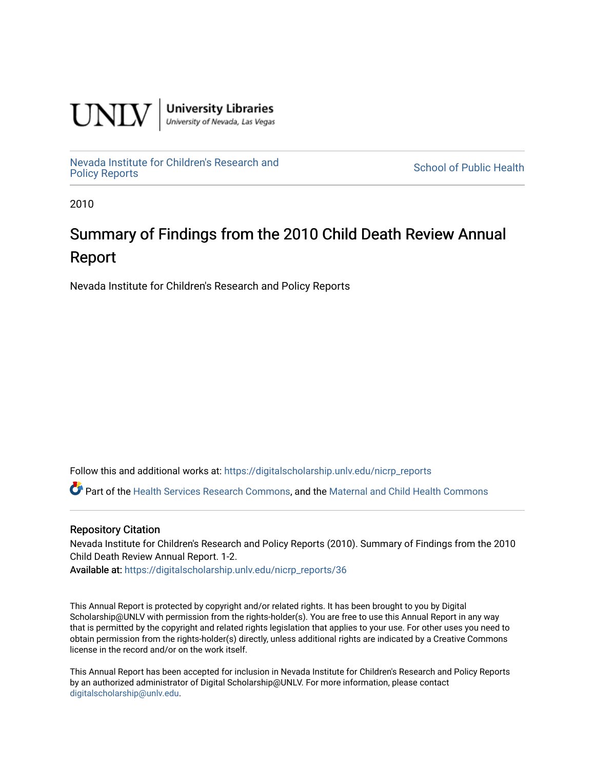

**University Libraries**<br>University of Nevada, Las Vegas

[Nevada Institute for Children's Research and](https://digitalscholarship.unlv.edu/nicrp_reports)

**School of Public Health** 

2010

# Summary of Findings from the 2010 Child Death Review Annual Report

Nevada Institute for Children's Research and Policy Reports

Follow this and additional works at: [https://digitalscholarship.unlv.edu/nicrp\\_reports](https://digitalscholarship.unlv.edu/nicrp_reports?utm_source=digitalscholarship.unlv.edu%2Fnicrp_reports%2F36&utm_medium=PDF&utm_campaign=PDFCoverPages)

Part of the [Health Services Research Commons,](http://network.bepress.com/hgg/discipline/816?utm_source=digitalscholarship.unlv.edu%2Fnicrp_reports%2F36&utm_medium=PDF&utm_campaign=PDFCoverPages) and the [Maternal and Child Health Commons](http://network.bepress.com/hgg/discipline/745?utm_source=digitalscholarship.unlv.edu%2Fnicrp_reports%2F36&utm_medium=PDF&utm_campaign=PDFCoverPages) 

#### Repository Citation

Nevada Institute for Children's Research and Policy Reports (2010). Summary of Findings from the 2010 Child Death Review Annual Report. 1-2.

Available at: [https://digitalscholarship.unlv.edu/nicrp\\_reports/36](https://digitalscholarship.unlv.edu/nicrp_reports/36) 

This Annual Report is protected by copyright and/or related rights. It has been brought to you by Digital Scholarship@UNLV with permission from the rights-holder(s). You are free to use this Annual Report in any way that is permitted by the copyright and related rights legislation that applies to your use. For other uses you need to obtain permission from the rights-holder(s) directly, unless additional rights are indicated by a Creative Commons license in the record and/or on the work itself.

This Annual Report has been accepted for inclusion in Nevada Institute for Children's Research and Policy Reports by an authorized administrator of Digital Scholarship@UNLV. For more information, please contact [digitalscholarship@unlv.edu](mailto:digitalscholarship@unlv.edu).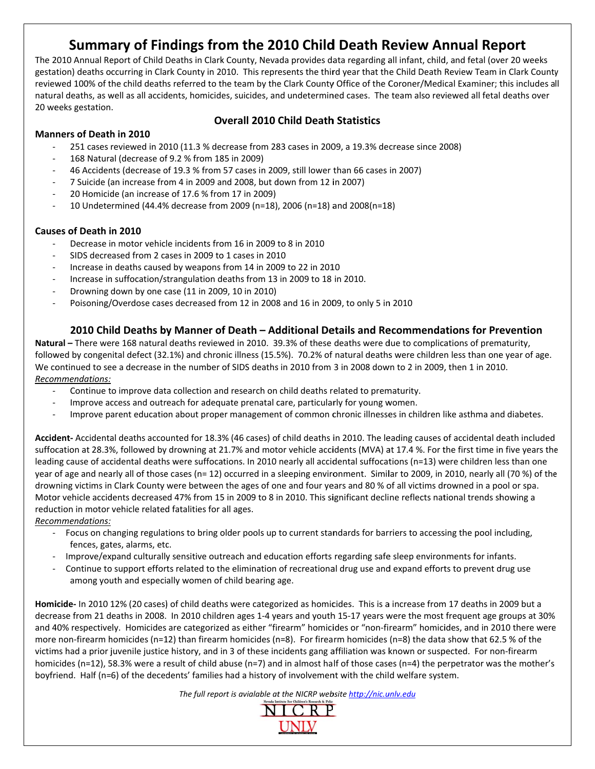## Summary of Findings from the 2010 Child Death Review Annual Report

The 2010 Annual Report of Child Deaths in Clark County, Nevada provides data regarding all infant, child, and fetal (over 20 weeks gestation) deaths occurring in Clark County in 2010. This represents the third year that the Child Death Review Team in Clark County reviewed 100% of the child deaths referred to the team by the Clark County Office of the Coroner/Medical Examiner; this includes all natural deaths, as well as all accidents, homicides, suicides, and undetermined cases. The team also reviewed all fetal deaths over 20 weeks gestation.

## **Overall 2010 Child Death Statistics**

## **Manners of Death in 2010**

- 251 cases reviewed in 2010 (11.3 % decrease from 283 cases in 2009, a 19.3% decrease since 2008)
- 168 Natural (decrease of 9.2 % from 185 in 2009)
- 46 Accidents (decrease of 19.3 % from 57 cases in 2009, still lower than 66 cases in 2007)
- 7 Suicide (an increase from 4 in 2009 and 2008, but down from 12 in 2007)
- 20 Homicide (an increase of 17.6 % from 17 in 2009)
- 10 Undetermined (44.4% decrease from 2009 (n=18), 2006 (n=18) and 2008(n=18)

### **Causes of Death in 2010**

- Decrease in motor vehicle incidents from 16 in 2009 to 8 in 2010
- SIDS decreased from 2 cases in 2009 to 1 cases in 2010
- Increase in deaths caused by weapons from 14 in 2009 to 22 in 2010
- Increase in suffocation/strangulation deaths from 13 in 2009 to 18 in 2010.
- Drowning down by one case (11 in 2009, 10 in 2010)
- Poisoning/Overdose cases decreased from 12 in 2008 and 16 in 2009, to only 5 in 2010

## 2010 Child Deaths by Manner of Death - Additional Details and Recommendations for Prevention

Natural – There were 168 natural deaths reviewed in 2010. 39.3% of these deaths were due to complications of prematurity. followed by congenital defect (32.1%) and chronic illness (15.5%). 70.2% of natural deaths were children less than one year of age. We continued to see a decrease in the number of SIDS deaths in 2010 from 3 in 2008 down to 2 in 2009, then 1 in 2010. Recommendations:

- Continue to improve data collection and research on child deaths related to prematurity.
- Improve access and outreach for adequate prenatal care, particularly for young women.
- Improve parent education about proper management of common chronic illnesses in children like asthma and diabetes.

Accident-Accidental deaths accounted for 18.3% (46 cases) of child deaths in 2010. The leading causes of accidental death included suffocation at 28.3%, followed by drowning at 21.7% and motor vehicle accidents (MVA) at 17.4 %. For the first time in five years the leading cause of accidental deaths were suffocations. In 2010 nearly all accidental suffocations (n=13) were children less than one year of age and nearly all of those cases (n= 12) occurred in a sleeping environment. Similar to 2009, in 2010, nearly all (70 %) of the drowning victims in Clark County were between the ages of one and four years and 80 % of all victims drowned in a pool or spa. Motor vehicle accidents decreased 47% from 15 in 2009 to 8 in 2010. This significant decline reflects national trends showing a reduction in motor vehicle related fatalities for all ages.

Recommendations:

- Focus on changing regulations to bring older pools up to current standards for barriers to accessing the pool including, fences, gates, alarms, etc.
- Improve/expand culturally sensitive outreach and education efforts regarding safe sleep environments for infants.
- Continue to support efforts related to the elimination of recreational drug use and expand efforts to prevent drug use among youth and especially women of child bearing age.

Homicide- In 2010 12% (20 cases) of child deaths were categorized as homicides. This is a increase from 17 deaths in 2009 but a decrease from 21 deaths in 2008. In 2010 children ages 1-4 years and youth 15-17 years were the most frequent age groups at 30% and 40% respectively. Homicides are categorized as either "firearm" homicides or "non-firearm" homicides, and in 2010 there were more non-firearm homicides (n=12) than firearm homicides (n=8). For firearm homicides (n=8) the data show that 62.5 % of the victims had a prior juvenile justice history, and in 3 of these incidents gang affiliation was known or suspected. For non-firearm homicides ( $n=12$ ), 58.3% were a result of child abuse ( $n=7$ ) and in almost half of those cases ( $n=4$ ) the perpetrator was the mother's boyfriend. Half (n=6) of the decedents' families had a history of involvement with the child welfare system.

The full report is avialable at the NICRP website http://nic.unlv.edu